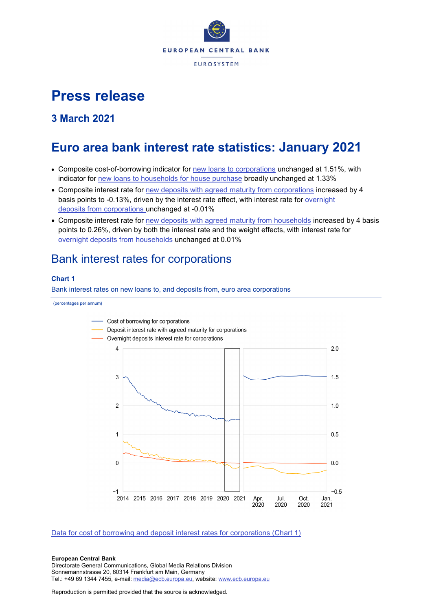

# **Press release**

## **3 March 2021**

# **Euro area bank interest rate statistics: January 2021**

- Composite cost-of-borrowing indicator for [new loans to corporations](http://sdw.ecb.europa.eu/quickview.do?SERIES_KEY=124.MIR.M.U2.B.A2I.AM.R.A.2240.EUR.N) unchanged at 1.51%, with indicator for [new loans to households for house purchase](http://sdw.ecb.europa.eu/quickview.do?SERIES_KEY=124.MIR.M.U2.B.A2C.AM.R.A.2250.EUR.N) broadly unchanged at 1.33%
- Composite interest rate for [new deposits with agreed maturity from corporations](http://sdw.ecb.europa.eu/quickview.do?SERIES_KEY=124.MIR.M.U2.B.L22.A.R.A.2240.EUR.N) increased by 4 basis points to -0.13%, driven by the interest rate effect, with interest rate for [overnight](http://sdw.ecb.europa.eu/quickview.do?SERIES_KEY=124.MIR.M.U2.B.L21.A.R.A.2240.EUR.N)  deposits [from corporations](http://sdw.ecb.europa.eu/quickview.do?SERIES_KEY=124.MIR.M.U2.B.L21.A.R.A.2240.EUR.N) unchanged at -0.01%
- Composite interest rate for [new deposits with agreed maturity from households](http://sdw.ecb.europa.eu/quickview.do?SERIES_KEY=124.MIR.M.U2.B.L22.A.R.A.2250.EUR.N) increased by 4 basis points to 0.26%, driven by both the interest rate and the weight effects, with interest rate for [overnight deposits](http://sdw.ecb.europa.eu/quickview.do?SERIES_KEY=124.MIR.M.U2.B.L21.A.R.A.2250.EUR.N) from households unchanged at 0.01%

# Bank interest rates for corporations

### **Chart 1**

Bank interest rates on new loans to, and deposits from, euro area corporations

(percentages per annum)



## [Data for cost of borrowing and deposit interest rates for corporations \(Chart 1\)](http://sdw.ecb.europa.eu/browseSelection.do?type=series&q=MIR.M.U2.B.L22.A.R.A.2240.EUR.N+MIR.M.U2.B.A2I.AM.R.A.2240.EUR.N+MIR.M.U2.B.L21.A.R.A.2240.EUR.N&node=SEARCHRESULTS)

#### **European Central Bank**

Directorate General Communications, Global Media Relations Division Sonnemannstrasse 20, 60314 Frankfurt am Main, Germany Tel.: +49 69 1344 7455, e-mail: [media@ecb.europa.eu,](mailto:media@ecb.europa.eu) website: [www.ecb.europa.eu](http://www.ecb.europa.eu/)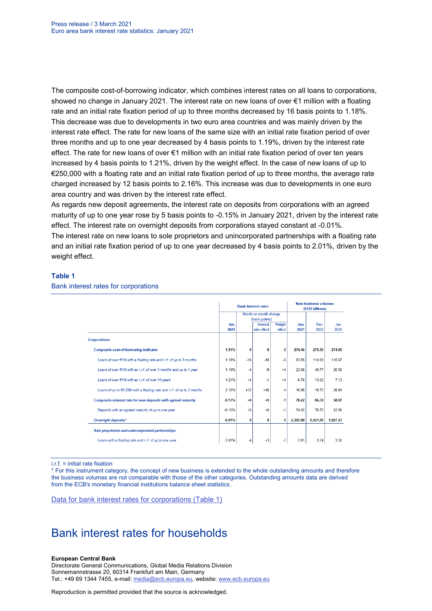The composite cost-of-borrowing indicator, which combines interest rates on all loans to corporations, showed no change in January 2021. The interest rate on new loans of over €1 million with a floating rate and an initial rate fixation period of up to three months decreased by 16 basis points to 1.18%. This decrease was due to developments in two euro area countries and was mainly driven by the interest rate effect. The rate for new loans of the same size with an initial rate fixation period of over three months and up to one year decreased by 4 basis points to 1.19%, driven by the interest rate effect. The rate for new loans of over €1 million with an initial rate fixation period of over ten years increased by 4 basis points to 1.21%, driven by the weight effect. In the case of new loans of up to €250,000 with a floating rate and an initial rate fixation period of up to three months, the average rate charged increased by 12 basis points to 2.16%. This increase was due to developments in one euro area country and was driven by the interest rate effect.

As regards new deposit agreements, the interest rate on deposits from corporations with an agreed maturity of up to one year rose by 5 basis points to -0.15% in January 2021, driven by the interest rate effect. The interest rate on overnight deposits from corporations stayed constant at -0.01%.

The interest rate on new loans to sole proprietors and unincorporated partnerships with a floating rate and an initial rate fixation period of up to one year decreased by 4 basis points to 2.01%, driven by the weight effect.

### **Table 1**

|                                                                         |          |                | <b>Bank interest rates</b> | <b>New business volumes</b><br>(EUR billions) |          |          |          |
|-------------------------------------------------------------------------|----------|----------------|----------------------------|-----------------------------------------------|----------|----------|----------|
|                                                                         |          |                | Month-on-month change      |                                               |          |          |          |
|                                                                         |          | (basis points) |                            |                                               |          |          |          |
|                                                                         | Jan.     |                | Interest                   | Weight                                        | Jan.     | Dec.     | Jan.     |
|                                                                         | 2021     |                | rate effect                | effect                                        | 2021     | 2020     | 2020     |
| <b>Corporations</b>                                                     |          |                |                            |                                               |          |          |          |
| <b>Composite cost-of-borrowing indicator</b>                            | 1.51%    | $\bf{0}$       | 0                          | $\bf{0}$                                      | 274.46   | 275.50   | 274.80   |
| Loans of over €1M with a floating rate and i.r.f. of up to 3 months     | 1.18%    | $-16$          | $-10$                      | $-6$                                          | 83.85    | 114.08   | 110.67   |
| Loans of over €1M with an i.r.f. of over 3 months and up to 1 year      | 1.19%    | $-4$           | -8                         | $+4$                                          | 22.66    | 49.77    | 26.50    |
| Loans of over €1M with an i.r.f. of over 10 years                       | 1.21%    | $+4$           | $-1$                       | $+4$                                          | 6.76     | 13.52    | 7.13     |
| Loans of up to €0.25M with a floating rate and i.r.f. of up to 3 months | 2.16%    | $+12$          | $+16$                      | $-4$                                          | 16.95    | 19.72    | 20.94    |
| Composite interest rate for new deposits with agreed maturity           | $-0.13%$ | $+4$           | $+5$                       | $-1$                                          | 78.22    | 86.30    | 58.07    |
| Deposits with an agreed maturity of up to one year                      | $-0.15%$ | $+5$           | $+6$                       | $-1$                                          | 74.02    | 7875     | 52.90    |
| Overnight deposits*                                                     | $-0.01%$ | $\bf{0}$       | 0                          | $\bf{0}$                                      | 2.385.80 | 2,421.88 | 1,927.23 |
| Sole proprietors and unincorporated partnerships                        |          |                |                            |                                               |          |          |          |
| Loans with a floating rate and i.r.f. of up to one year                 | 2.01%    | -4             | $+3$                       | $-7$                                          | 2.81     | 3.74     | 3.32     |

#### Bank interest rates for corporations

i.r.f. = initial rate fixation

\* For this instrument category, the concept of new business is extended to the whole outstanding amounts and therefore the business volumes are not comparable with those of the other categories. Outstanding amounts data are derived from the ECB's monetary financial institutions balance sheet statistics.

[Data for bank interest rates for corporations \(Table 1\)](http://sdw.ecb.europa.eu/browseSelection.do?type=series&q=MIR.M.U2.B.A2I.AM.R.A.2240.EUR.N+MIR.M.U2.B.A2A.D.R.1.2240.EUR.N+MIR.M.U2.B.A2A.Q.R.1.2240.EUR.N+MIR.M.U2.B.A2A.P.R.1.2240.EUR.N++MIR.M.U2.B.A2A.D.R.2.2240.EUR.N++MIR.M.U2.B.L22.F.R.A.2240.EUR.N++MIR.M.U2.B.A2D.F.R.A.2253.EUR.N+MIR.M.U2.B.L22.A.R.A.2240.EUR.N+MIR.M.U2.B.L21.A.R.A.2240.EUR.N+&node=SEARCHRESULTS&ec=&oc=&rc=&cv=&pb=&dc=&df=)

# Bank interest rates for households

#### **European Central Bank**

Directorate General Communications, Global Media Relations Division Sonnemannstrasse 20, 60314 Frankfurt am Main, Germany Tel.: +49 69 1344 7455, e-mail: [media@ecb.europa.eu,](mailto:media@ecb.europa.eu) website: [www.ecb.europa.eu](http://www.ecb.europa.eu/)

Reproduction is permitted provided that the source is acknowledged.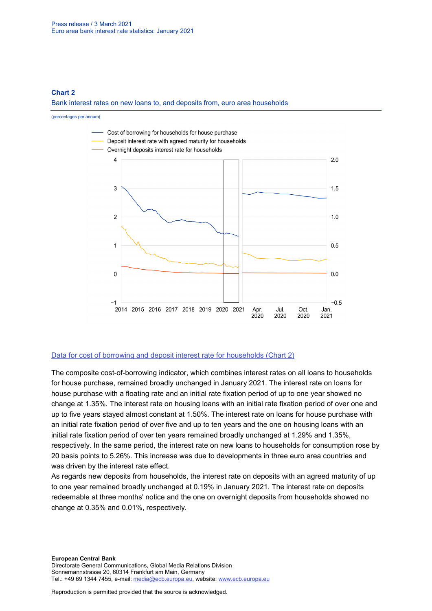### **Chart 2**

Bank interest rates on new loans to, and deposits from, euro area households

(percentages per annum)



### [Data for cost of borrowing and deposit interest rate for households \(Chart 2\)](http://sdw.ecb.europa.eu/browseSelection.do?type=series&q=MIR.M.U2.B.L22.A.R.A.2250.EUR.N+MIR.M.U2.B.A2C.AM.R.A.2250.EUR.N+MIR.M.U2.B.L21.A.R.A.2250.EUR.N&node=SEARCHRESULTS)

The composite cost-of-borrowing indicator, which combines interest rates on all loans to households for house purchase, remained broadly unchanged in January 2021. The interest rate on loans for house purchase with a floating rate and an initial rate fixation period of up to one year showed no change at 1.35%. The interest rate on housing loans with an initial rate fixation period of over one and up to five years stayed almost constant at 1.50%. The interest rate on loans for house purchase with an initial rate fixation period of over five and up to ten years and the one on housing loans with an initial rate fixation period of over ten years remained broadly unchanged at 1.29% and 1.35%, respectively. In the same period, the interest rate on new loans to households for consumption rose by 20 basis points to 5.26%. This increase was due to developments in three euro area countries and was driven by the interest rate effect.

As regards new deposits from households, the interest rate on deposits with an agreed maturity of up to one year remained broadly unchanged at 0.19% in January 2021. The interest rate on deposits redeemable at three months' notice and the one on overnight deposits from households showed no change at 0.35% and 0.01%, respectively.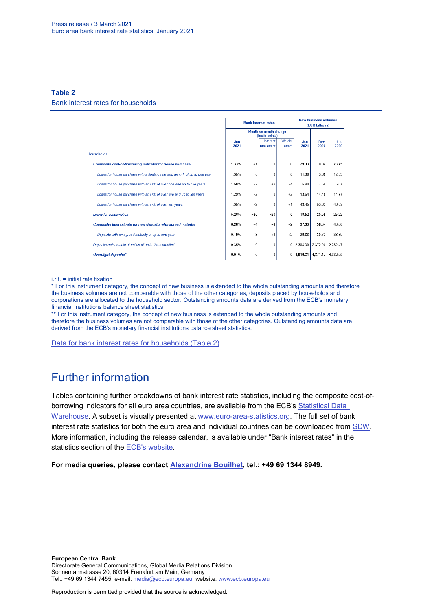### **Table 2**

#### Bank interest rates for households

|                                                                               |              |          | <b>Bank interest rates</b>              | <b>New business volumes</b><br>(EUR billions) |              |                   |              |
|-------------------------------------------------------------------------------|--------------|----------|-----------------------------------------|-----------------------------------------------|--------------|-------------------|--------------|
|                                                                               |              |          | Month-on-month change<br>(basis points) |                                               |              |                   |              |
|                                                                               | Jan.<br>2021 |          | Interest<br>rate effect                 | Weight<br>effect                              | Jan.<br>2021 | Dec.<br>2020      | Jan.<br>2020 |
| <b>Households</b>                                                             |              |          |                                         |                                               |              |                   |              |
| Composite cost-of-borrowing indicator for house purchase                      | 1.33%        | $+1$     | 0                                       | 0                                             | 79.33        | 79.04             | 73.75        |
| Loans for house purchase with a floating rate and an i.r.f. of up to one year | 1.35%        | 0        | 0                                       | 0                                             | 11.38        | 13.60             | 12.53        |
| Loans for house purchase with an i.r.f. of over one and up to five years      | 1.50%        | $-2$     | $+2$                                    | $-4$                                          | 5.90         | 7.56              | 6.67         |
| Loans for house purchase with an i.r.f. of over five and up to ten years      | 1.29%        | $+2$     | $\bf{0}$                                | $+2$                                          | 13.64        | 14.48             | 1477         |
| Loans for house purchase with an i.r.f. of over ten years                     | 1.35%        | $+2$     | 0                                       | $+1$                                          | 43.45        | 53.63             | 46.89        |
| Loans for consumption                                                         | 5.26%        | $+20$    | $+20$                                   | $\Omega$                                      | 19.52        | 20.09             | 25.22        |
| Composite interest rate for new deposits with agreed maturity                 | 0.26%        | $+4$     | $+1$                                    | $+2$                                          | 37.33        | 38.34             | 48.66        |
| Deposits with an agreed maturity of up to one year                            | 0.19%        | $+3$     | $+1$                                    | $+2$                                          | 29.88        | 30.73             | 36.89        |
| Deposits redeemable at notice of up to three months*                          | 0.35%        | 0        | 0                                       | 0                                             |              | 2,388.30 2,372.06 | 2.282.47     |
| Overnight deposits**                                                          | 0.01%        | $\bf{0}$ | 0                                       | 0                                             |              | 4,910.31 4,871.17 | 4,332.05     |

i.r.f. = initial rate fixation

\* For this instrument category, the concept of new business is extended to the whole outstanding amounts and therefore the business volumes are not comparable with those of the other categories; deposits placed by households and corporations are allocated to the household sector. Outstanding amounts data are derived from the ECB's monetary financial institutions balance sheet statistics.

\*\* For this instrument category, the concept of new business is extended to the whole outstanding amounts and therefore the business volumes are not comparable with those of the other categories. Outstanding amounts data are derived from the ECB's monetary financial institutions balance sheet statistics.

[Data for bank interest rates for households \(Table 2\)](http://sdw.ecb.europa.eu/browseSelection.do?type=series&q=MIR.M.U2.B.A2C.AM.R.A.2250.EUR.N%2cMIR.M.U2.B.A2C.F.R.A.2250.EUR.N%2cMIR.M.U2.B.A2C.P.R.A.2250.EUR.N%2cMIR.M.U2.B.A2B.A.R.A.2250.EUR.N%2cMIR.M.U2.B.A2C.I.R.A.2250.EUR.N%2cMIR.M.U2.B.A2C.O.R.A.2250.EUR.N%2cMIR.M.U2.B.L22.F.R.A.2250.EUR.N%2cMIR.M.U2.B.L23.D.R.A.2250.EUR.N%2cMIR.M.U2.B.L22.A.R.A.2250.EUR.N%2cMIR.M.U2.B.L21.A.R.A.2250.EUR.N&node=SEARCHRESULTS&ec=&oc=&rc=&cv=&pb=&dc=&df=)

# Further information

Tables containing further breakdowns of bank interest rate statistics, including the composite cost-ofborrowing indicators for all euro area countries, are available from the ECB's [Statistical Data](http://sdw.ecb.europa.eu/reports.do?node=1000002880)  [Warehouse.](http://sdw.ecb.europa.eu/reports.do?node=1000002880) A subset is visually presented at [www.euro-area-statistics.org.](http://www.euro-area-statistics.org/) The full set of bank interest rate statistics for both the euro area and individual countries can be downloaded from [SDW.](http://sdw.ecb.europa.eu/browse.do?node=9691123) More information, including the release calendar, is available under "Bank interest rates" in the statistics section of the [ECB's website.](http://www.ecb.europa.eu/stats/financial_markets_and_interest_rates/bank_interest_rates/mfi_interest_rates/html/index.en.html)

**For media queries, please contact [Alexandrine Bouilhet,](mailto:mailto:alexandrine.bouilhet@ecb.europa.eu) tel.: +49 69 1344 8949.**